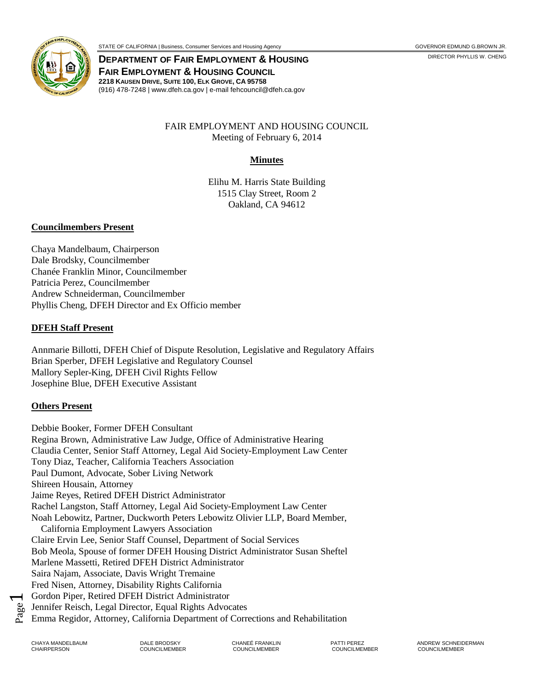**DEPARTMENT OF FAIR EMPLOYMENT & HOUSING DEPARTMENT OF FAIR SOMET OF FAIR SOMET OF FAIR FAIR EMPLOYMENT & HOUSING COUNCIL 2218 KAUSEN DRIVE, SUITE 100, ELK GROVE, CA 95758** (916) 478-7248 | www.dfeh.ca.gov | e-mail fehcouncil@dfeh.ca.gov

### FAIR EMPLOYMENT AND HOUSING COUNCIL Meeting of February 6, 2014

### **Minutes**

Elihu M. Harris State Building 1515 Clay Street, Room 2 Oakland, CA 94612

#### **Councilmembers Present**

Chaya Mandelbaum, Chairperson Dale Brodsky, Councilmember Chanée Franklin Minor, Councilmember Patricia Perez, Councilmember Andrew Schneiderman, Councilmember Phyllis Cheng, DFEH Director and Ex Officio member

#### **DFEH Staff Present**

Annmarie Billotti, DFEH Chief of Dispute Resolution, Legislative and Regulatory Affairs Brian Sperber, DFEH Legislative and Regulatory Counsel Mallory Sepler-King, DFEH Civil Rights Fellow Josephine Blue, DFEH Executive Assistant

### **Others Present**

Debbie Booker, Former DFEH Consultant Regina Brown, Administrative Law Judge, Office of Administrative Hearing Claudia Center, Senior Staff Attorney, Legal Aid Society-Employment Law Center Tony Diaz, Teacher, California Teachers Association Paul Dumont, Advocate, Sober Living Network Shireen Housain, Attorney Jaime Reyes, Retired DFEH District Administrator Rachel Langston, Staff Attorney, Legal Aid Society-Employment Law Center Noah Lebowitz, Partner, Duckworth Peters Lebowitz Olivier LLP, Board Member, California Employment Lawyers Association Claire Ervin Lee, Senior Staff Counsel, Department of Social Services Bob Meola, Spouse of former DFEH Housing District Administrator Susan Sheftel Marlene Massetti, Retired DFEH District Administrator Saira Najam, Associate, Davis Wright Tremaine Fred Nisen, Attorney, Disability Rights California Gordon Piper, Retired DFEH District Administrator Jennifer Reisch, Legal Director, Equal Rights Advocates Emma Regidor, Attorney, California Department of Corrections and Rehabilitation

Page  $\blacktriangleleft$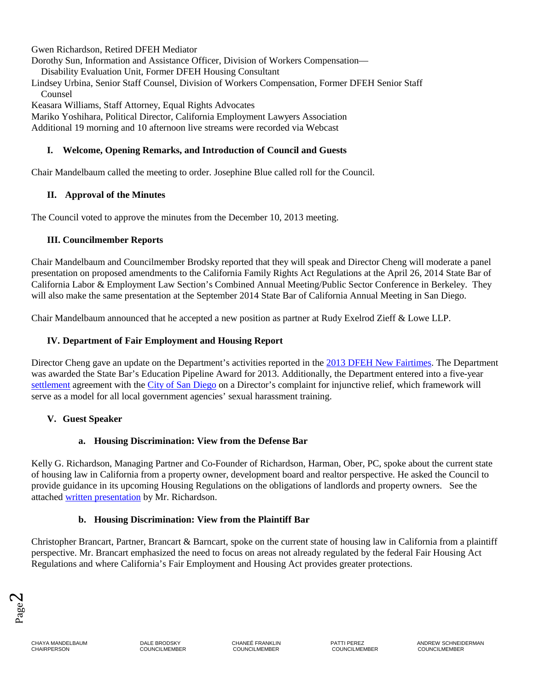Gwen Richardson, Retired DFEH Mediator

Dorothy Sun, Information and Assistance Officer, Division of Workers Compensation—

Disability Evaluation Unit, Former DFEH Housing Consultant

Lindsey Urbina, Senior Staff Counsel, Division of Workers Compensation, Former DFEH Senior Staff Counsel

Keasara Williams, Staff Attorney, Equal Rights Advocates

Mariko Yoshihara, Political Director, California Employment Lawyers Association Additional 19 morning and 10 afternoon live streams were recorded via Webcast

### **I. Welcome, Opening Remarks, and Introduction of Council and Guests**

Chair Mandelbaum called the meeting to order. Josephine Blue called roll for the Council.

# **II. Approval of the Minutes**

The Council voted to approve the minutes from the December 10, 2013 meeting.

### **III. Councilmember Reports**

Chair Mandelbaum and Councilmember Brodsky reported that they will speak and Director Cheng will moderate a panel presentation on proposed amendments to the California Family Rights Act Regulations at the April 26, 2014 State Bar of California Labor & Employment Law Section's Combined Annual Meeting/Public Sector Conference in Berkeley. They will also make the same presentation at the September 2014 State Bar of California Annual Meeting in San Diego.

Chair Mandelbaum announced that he accepted a new position as partner at Rudy Exelrod Zieff & Lowe LLP.

# **IV. Department of Fair Employment and Housing Report**

Director Cheng gave an update on the Department's activities reported in the [2013 DFEH New Fairtimes.](http://www.dfeh.ca.gov/res/docs/Announcements/New%20Fairtimes/new%20fairtimes%202013%20final%20rev%203.pdf) The Department was awarded the State Bar's Education Pipeline Award for 2013. Additionally, the Department entered into a five-year [settlement](http://www.dfeh.ca.gov/res/docs/Announcements/PressReleases/Settlmt%20Agrmt%20-%20fully%20executed.12-17-13.pdf) agreement with the [City of San Diego](http://www.dfeh.ca.gov/res/docs/Announcements/PressReleases/City%20of%20San%20Diego%20release%20with%20link.pdf) on a Director's complaint for injunctive relief, which framework will serve as a model for all local government agencies' sexual harassment training.

# **V. Guest Speaker**

# **a. Housing Discrimination: View from the Defense Bar**

Kelly G. Richardson, Managing Partner and Co-Founder of Richardson, Harman, Ober, PC, spoke about the current state of housing law in California from a property owner, development board and realtor perspective. He asked the Council to provide guidance in its upcoming Housing Regulations on the obligations of landlords and property owners. See the attached [written presentation](https://cms.portal.ca.gov/dfeh/res/docs/Council/2-6-14%20Meeting/DFEH%20presentation%202-6-14.pdf) by Mr. Richardson.

# **b. Housing Discrimination: View from the Plaintiff Bar**

Christopher Brancart, Partner, Brancart & Barncart, spoke on the current state of housing law in California from a plaintiff perspective. Mr. Brancart emphasized the need to focus on areas not already regulated by the federal Fair Housing Act Regulations and where California's Fair Employment and Housing Act provides greater protections.

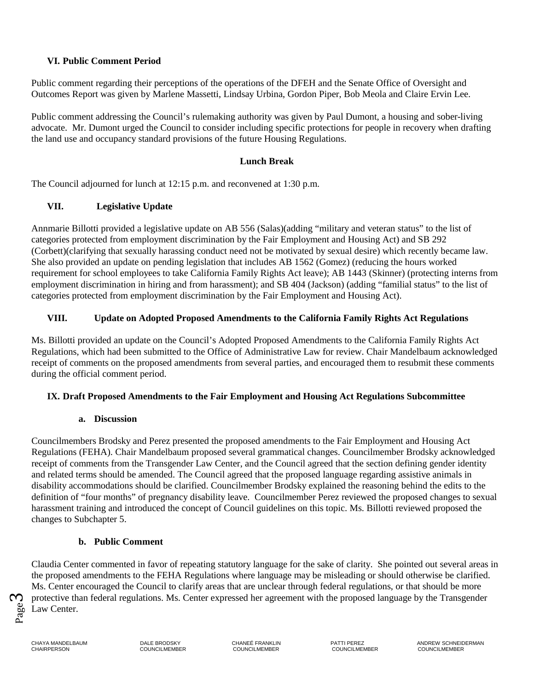### **VI. Public Comment Period**

Public comment regarding their perceptions of the operations of the DFEH and the Senate Office of Oversight and Outcomes Report was given by Marlene Massetti, Lindsay Urbina, Gordon Piper, Bob Meola and Claire Ervin Lee.

Public comment addressing the Council's rulemaking authority was given by Paul Dumont, a housing and sober-living advocate. Mr. Dumont urged the Council to consider including specific protections for people in recovery when drafting the land use and occupancy standard provisions of the future Housing Regulations.

#### **Lunch Break**

The Council adjourned for lunch at 12:15 p.m. and reconvened at 1:30 p.m.

### **VII. Legislative Update**

Annmarie Billotti provided a legislative update on AB 556 (Salas)(adding "military and veteran status" to the list of categories protected from employment discrimination by the Fair Employment and Housing Act) and SB 292 (Corbett)(clarifying that sexually harassing conduct need not be motivated by sexual desire) which recently became law. She also provided an update on pending legislation that includes AB 1562 (Gomez) (reducing the hours worked requirement for school employees to take California Family Rights Act leave); AB 1443 (Skinner) (protecting interns from employment discrimination in hiring and from harassment); and SB 404 (Jackson) (adding "familial status" to the list of categories protected from employment discrimination by the Fair Employment and Housing Act).

### **VIII. Update on Adopted Proposed Amendments to the California Family Rights Act Regulations**

Ms. Billotti provided an update on the Council's Adopted Proposed Amendments to the California Family Rights Act Regulations, which had been submitted to the Office of Administrative Law for review. Chair Mandelbaum acknowledged receipt of comments on the proposed amendments from several parties, and encouraged them to resubmit these comments during the official comment period.

#### **IX. Draft Proposed Amendments to the Fair Employment and Housing Act Regulations Subcommittee**

#### **a. Discussion**

Councilmembers Brodsky and Perez presented the proposed amendments to the Fair Employment and Housing Act Regulations (FEHA). Chair Mandelbaum proposed several grammatical changes. Councilmember Brodsky acknowledged receipt of comments from the Transgender Law Center, and the Council agreed that the section defining gender identity and related terms should be amended. The Council agreed that the proposed language regarding assistive animals in disability accommodations should be clarified. Councilmember Brodsky explained the reasoning behind the edits to the definition of "four months" of pregnancy disability leave. Councilmember Perez reviewed the proposed changes to sexual harassment training and introduced the concept of Council guidelines on this topic. Ms. Billotti reviewed proposed the changes to Subchapter 5.

### **b. Public Comment**

Claudia Center commented in favor of repeating statutory language for the sake of clarity. She pointed out several areas in the proposed amendments to the FEHA Regulations where language may be misleading or should otherwise be clarified. Ms. Center encouraged the Council to clarify areas that are unclear through federal regulations, or that should be more protective than federal regulations. Ms. Center expressed her agreement with the proposed language by the Transgender Law Center.



CHAIRPERSON COUNCILMEMBER COUNCILMEMBER COUNCILMEMBER COUNCILMEMBER